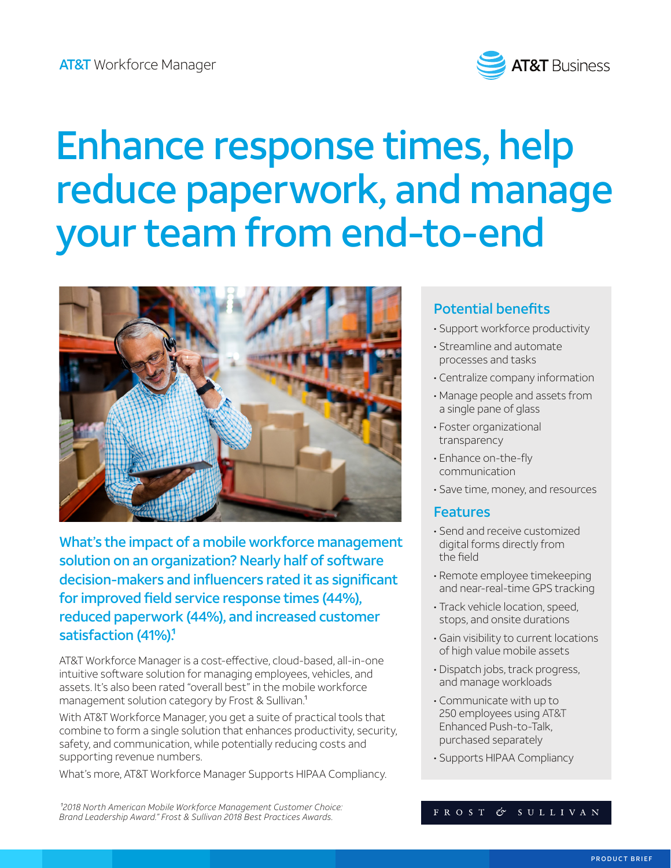

# Enhance response times, help reduce paperwork, and manage your team from end-to-end



What's the impact of a mobile workforce management solution on an organization? Nearly half of software decision-makers and influencers rated it as significant for improved field service response times (44%), reduced paperwork (44%), and increased customer satisfaction (41%).<sup>1</sup>

AT&T Workforce Manager is a cost-effective, cloud-based, all-in-one intuitive software solution for managing employees, vehicles, and assets. It's also been rated "overall best" in the mobile workforce management solution category by Frost & Sullivan.<sup>1</sup>

With AT&T Workforce Manager, you get a suite of practical tools that combine to form a single solution that enhances productivity, security, safety, and communication, while potentially reducing costs and supporting revenue numbers.

What's more, AT&T Workforce Manager Supports HIPAA Compliancy.

## Potential benefits

- Support workforce productivity
- Streamline and automate processes and tasks
- Centralize company information
- Manage people and assets from a single pane of glass
- Foster organizational transparency
- Enhance on-the-fly communication
- Save time, money, and resources

#### **Features**

- Send and receive customized digital forms directly from the field
- Remote employee timekeeping and near-real-time GPS tracking
- Track vehicle location, speed, stops, and onsite durations
- Gain visibility to current locations of high value mobile assets
- Dispatch jobs, track progress, and manage workloads
- Communicate with up to 250 employees using AT&T Enhanced Push-to-Talk, purchased separately
- Supports HIPAA Compliancy

<sup>1</sup>2018 North American Mobile Workforce Management Customer Choice: *Brand Leadership Award." Frost & Sullivan 2018 Best Practices Awards.* 

#### FROST & SULLIVAN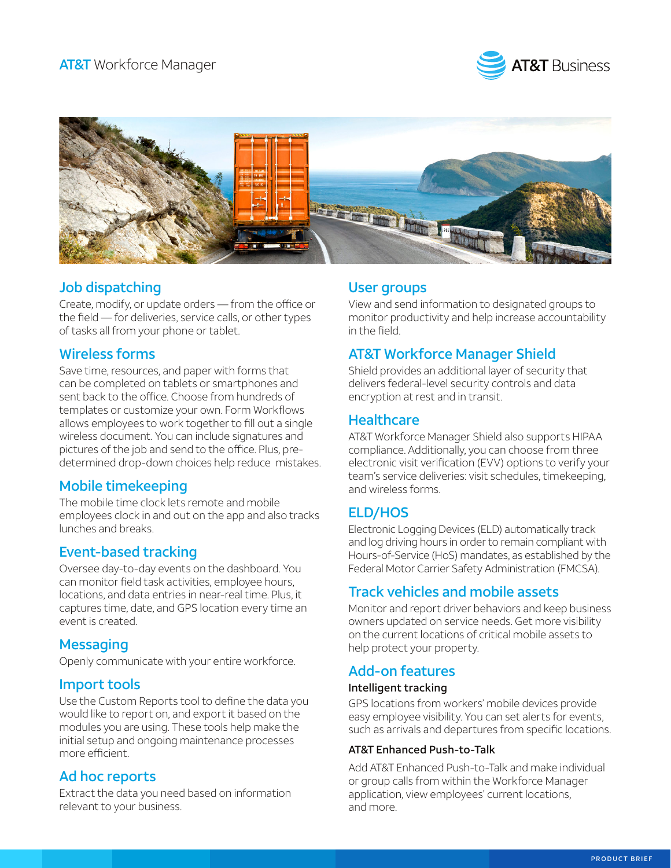



## Job dispatching

Create, modify, or update orders — from the office or the field — for deliveries, service calls, or other types of tasks all from your phone or tablet.

## Wireless forms

Save time, resources, and paper with forms that can be completed on tablets or smartphones and sent back to the office. Choose from hundreds of templates or customize your own. Form Workflows allows employees to work together to fill out a single wireless document. You can include signatures and pictures of the job and send to the office. Plus, predetermined drop-down choices help reduce mistakes.

#### Mobile timekeeping

The mobile time clock lets remote and mobile employees clock in and out on the app and also tracks lunches and breaks.

#### Event-based tracking

Oversee day-to-day events on the dashboard. You can monitor field task activities, employee hours, locations, and data entries in near-real time. Plus, it captures time, date, and GPS location every time an event is created.

#### **Messaging**

Openly communicate with your entire workforce.

#### Import tools

Use the Custom Reports tool to define the data you would like to report on, and export it based on the modules you are using. These tools help make the initial setup and ongoing maintenance processes more efficient.

#### Ad hoc reports

Extract the data you need based on information relevant to your business.

#### User groups

View and send information to designated groups to monitor productivity and help increase accountability in the field.

## AT&T Workforce Manager Shield

Shield provides an additional layer of security that delivers federal-level security controls and data encryption at rest and in transit.

#### **Healthcare**

AT&T Workforce Manager Shield also supports HIPAA compliance. Additionally, you can choose from three electronic visit verification (EVV) options to verify your team's service deliveries: visit schedules, timekeeping, and wireless forms.

## ELD/HOS

Electronic Logging Devices (ELD) automatically track and log driving hours in order to remain compliant with Hours-of-Service (HoS) mandates, as established by the Federal Motor Carrier Safety Administration (FMCSA).

#### Track vehicles and mobile assets

Monitor and report driver behaviors and keep business owners updated on service needs. Get more visibility on the current locations of critical mobile assets to help protect your property.

#### Add-on features

#### Intelligent tracking

GPS locations from workers' mobile devices provide easy employee visibility. You can set alerts for events, such as arrivals and departures from specific locations.

#### AT&T Enhanced Push-to-Talk

Add AT&T Enhanced Push-to-Talk and make individual or group calls from within the Workforce Manager application, view employees' current locations, and more.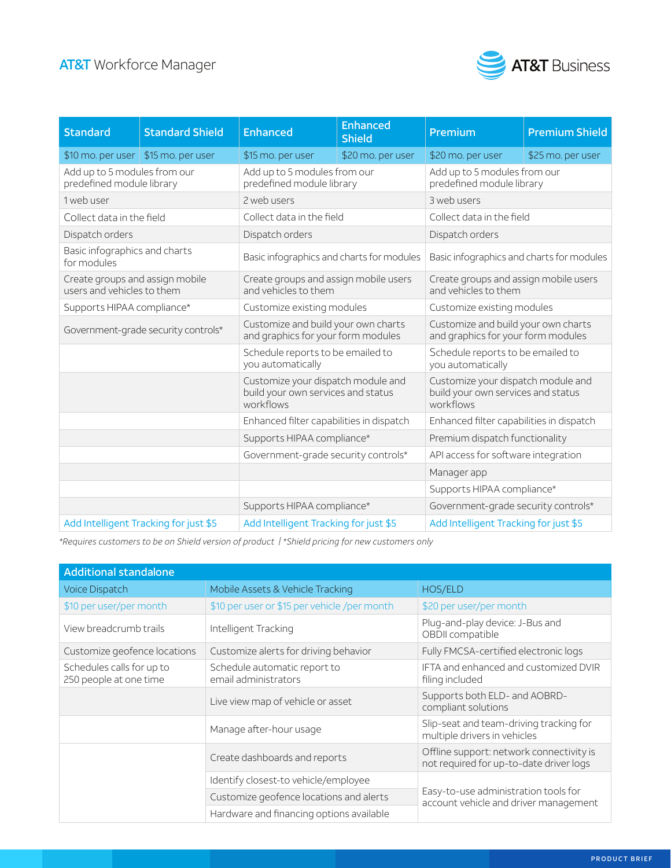## AT&T Workforce Manager



| <b>Standard</b>                                               | <b>Standard Shield</b>                | <b>Enhanced</b>                                                                       | <b>Enhanced</b><br><b>Shield</b> | Premium                                                                               | <b>Premium Shield</b> |
|---------------------------------------------------------------|---------------------------------------|---------------------------------------------------------------------------------------|----------------------------------|---------------------------------------------------------------------------------------|-----------------------|
|                                                               | \$10 mo. per user \$15 mo. per user   | \$15 mo. per user                                                                     | \$20 mo. per user                | \$20 mo. per user                                                                     | \$25 mo. per user     |
| Add up to 5 modules from our<br>predefined module library     |                                       | Add up to 5 modules from our<br>predefined module library                             |                                  | Add up to 5 modules from our<br>predefined module library                             |                       |
| 1 web user                                                    |                                       | 2 web users                                                                           |                                  | 3 web users                                                                           |                       |
| Collect data in the field                                     |                                       | Collect data in the field                                                             |                                  | Collect data in the field                                                             |                       |
| Dispatch orders                                               |                                       | Dispatch orders                                                                       |                                  | Dispatch orders                                                                       |                       |
| Basic infographics and charts<br>for modules                  |                                       | Basic infographics and charts for modules                                             |                                  | Basic infographics and charts for modules                                             |                       |
| Create groups and assign mobile<br>users and vehicles to them |                                       | Create groups and assign mobile users<br>and vehicles to them                         |                                  | Create groups and assign mobile users<br>and vehicles to them                         |                       |
| Supports HIPAA compliance*                                    |                                       | Customize existing modules                                                            |                                  | Customize existing modules                                                            |                       |
|                                                               | Government-grade security controls*   | Customize and build your own charts<br>and graphics for your form modules             |                                  | Customize and build your own charts<br>and graphics for your form modules             |                       |
|                                                               |                                       | Schedule reports to be emailed to<br>you automatically                                |                                  | Schedule reports to be emailed to<br>you automatically                                |                       |
|                                                               |                                       | Customize your dispatch module and<br>build your own services and status<br>workflows |                                  | Customize your dispatch module and<br>build your own services and status<br>workflows |                       |
|                                                               |                                       | Enhanced filter capabilities in dispatch                                              |                                  | Enhanced filter capabilities in dispatch                                              |                       |
|                                                               |                                       | Supports HIPAA compliance*                                                            |                                  | Premium dispatch functionality                                                        |                       |
|                                                               |                                       | Government-grade security controls*                                                   |                                  | API access for software integration                                                   |                       |
|                                                               |                                       |                                                                                       |                                  | Manager app                                                                           |                       |
|                                                               |                                       |                                                                                       |                                  | Supports HIPAA compliance*                                                            |                       |
|                                                               |                                       | Supports HIPAA compliance*                                                            |                                  | Government-grade security controls*                                                   |                       |
|                                                               | Add Intelligent Tracking for just \$5 | Add Intelligent Tracking for just \$5                                                 |                                  | Add Intelligent Tracking for just \$5                                                 |                       |

*\*Requires customers to be on Shield version of product | \*Shield pricing for new customers only* 

| <b>Additional standalone</b>                        |                                                      |                                                                                     |  |  |  |  |  |
|-----------------------------------------------------|------------------------------------------------------|-------------------------------------------------------------------------------------|--|--|--|--|--|
| <b>Voice Dispatch</b>                               | Mobile Assets & Vehicle Tracking                     | HOS/ELD                                                                             |  |  |  |  |  |
| \$10 per user/per month                             | \$10 per user or \$15 per vehicle /per month         | \$20 per user/per month                                                             |  |  |  |  |  |
| View breadcrumb trails                              | Intelligent Tracking                                 | Plug-and-play device: J-Bus and<br>OBDII compatible                                 |  |  |  |  |  |
| Customize geofence locations                        | Customize alerts for driving behavior                | Fully FMCSA-certified electronic logs                                               |  |  |  |  |  |
| Schedules calls for up to<br>250 people at one time | Schedule automatic report to<br>email administrators | IFTA and enhanced and customized DVIR<br>filing included                            |  |  |  |  |  |
|                                                     | Live view map of vehicle or asset                    | Supports both ELD- and AOBRD-<br>compliant solutions                                |  |  |  |  |  |
|                                                     | Manage after-hour usage                              | Slip-seat and team-driving tracking for<br>multiple drivers in vehicles             |  |  |  |  |  |
|                                                     | Create dashboards and reports                        | Offline support: network connectivity is<br>not required for up-to-date driver logs |  |  |  |  |  |
|                                                     | Identify closest-to vehicle/employee                 |                                                                                     |  |  |  |  |  |
|                                                     | Customize geofence locations and alerts              | Easy-to-use administration tools for<br>account vehicle and driver management       |  |  |  |  |  |
|                                                     | Hardware and financing options available             |                                                                                     |  |  |  |  |  |